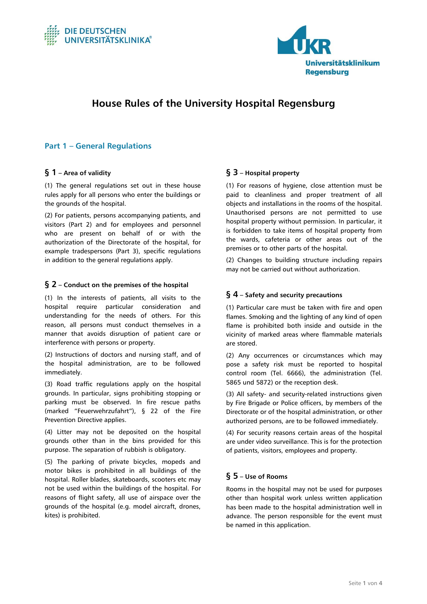



# **House Rules of the University Hospital Regensburg**

## **Part 1 – General Regulations**

### **§ 1 – Area of validity**

(1) The general regulations set out in these house rules apply for all persons who enter the buildings or the grounds of the hospital.

(2) For patients, persons accompanying patients, and visitors (Part 2) and for employees and personnel who are present on behalf of or with the authorization of the Directorate of the hospital, for example tradespersons (Part 3), specific regulations in addition to the general regulations apply.

#### **§ 2 – Conduct on the premises of the hospital**

(1) In the interests of patients, all visits to the hospital require particular consideration and understanding for the needs of others. For this reason, all persons must conduct themselves in a manner that avoids disruption of patient care or interference with persons or property.

(2) Instructions of doctors and nursing staff, and of the hospital administration, are to be followed immediately.

(3) Road traffic regulations apply on the hospital grounds. In particular, signs prohibiting stopping or parking must be observed. In fire rescue paths (marked "Feuerwehrzufahrt"), § 22 of the Fire Prevention Directive applies.

(4) Litter may not be deposited on the hospital grounds other than in the bins provided for this purpose. The separation of rubbish is obligatory.

(5) The parking of private bicycles, mopeds and motor bikes is prohibited in all buildings of the hospital. Roller blades, skateboards, scooters etc may not be used within the buildings of the hospital. For reasons of flight safety, all use of airspace over the grounds of the hospital (e.g. model aircraft, drones, kites) is prohibited.

### **§ 3 – Hospital property**

(1) For reasons of hygiene, close attention must be paid to cleanliness and proper treatment of all objects and installations in the rooms of the hospital. Unauthorised persons are not permitted to use hospital property without permission. In particular, it is forbidden to take items of hospital property from the wards, cafeteria or other areas out of the premises or to other parts of the hospital.

(2) Changes to building structure including repairs may not be carried out without authorization.

#### **§ 4 – Safety and security precautions**

(1) Particular care must be taken with fire and open flames. Smoking and the lighting of any kind of open flame is prohibited both inside and outside in the vicinity of marked areas where flammable materials are stored.

(2) Any occurrences or circumstances which may pose a safety risk must be reported to hospital control room (Tel. 6666), the administration (Tel. 5865 und 5872) or the reception desk.

(3) All safety- and security-related instructions given by Fire Brigade or Police officers, by members of the Directorate or of the hospital administration, or other authorized persons, are to be followed immediately.

(4) For security reasons certain areas of the hospital are under video surveillance. This is for the protection of patients, visitors, employees and property.

### **§ 5 – Use of Rooms**

Rooms in the hospital may not be used for purposes other than hospital work unless written application has been made to the hospital administration well in advance. The person responsible for the event must be named in this application.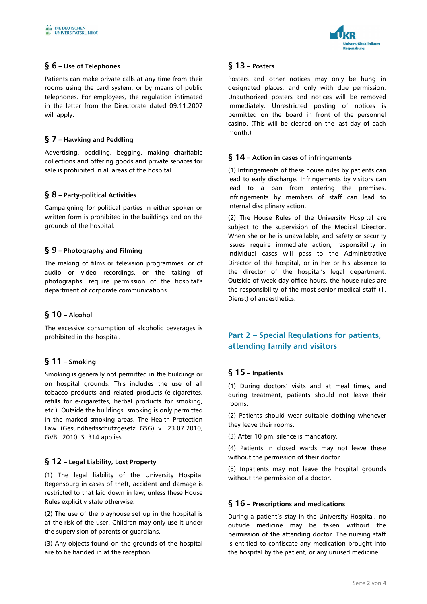

Patients can make private calls at any time from their rooms using the card system, or by means of public telephones. For employees, the regulation intimated in the letter from the Directorate dated 09.11.2007 will apply.

## **§ 7 – Hawking and Peddling**

Advertising, peddling, begging, making charitable collections and offering goods and private services for sale is prohibited in all areas of the hospital.

## **§ 8 – Party-political Activities**

Campaigning for political parties in either spoken or written form is prohibited in the buildings and on the grounds of the hospital.

## **§ 9 – Photography and Filming**

The making of films or television programmes, or of audio or video recordings, or the taking of photographs, require permission of the hospital's department of corporate communications.

### **§ 10 – Alcohol**

The excessive consumption of alcoholic beverages is prohibited in the hospital.

### **§ 11 – Smoking**

Smoking is generally not permitted in the buildings or on hospital grounds. This includes the use of all tobacco products and related products (e-cigarettes, refills for e-cigarettes, herbal products for smoking, etc.). Outside the buildings, smoking is only permitted in the marked smoking areas. The Health Protection Law (Gesundheitsschutzgesetz GSG) v. 23.07.2010, GVBl. 2010, S. 314 applies.

### **§ 12 – Legal Liability, Lost Property**

(1) The legal liability of the University Hospital Regensburg in cases of theft, accident and damage is restricted to that laid down in law, unless these House Rules explicitly state otherwise.

(2) The use of the playhouse set up in the hospital is at the risk of the user. Children may only use it under the supervision of parents or guardians.

(3) Any objects found on the grounds of the hospital are to be handed in at the reception.



## **§ 13 – Posters**

Posters and other notices may only be hung in designated places, and only with due permission. Unauthorized posters and notices will be removed immediately. Unrestricted posting of notices is permitted on the board in front of the personnel casino. (This will be cleared on the last day of each month.)

### **§ 14 – Action in cases of infringements**

(1) Infringements of these house rules by patients can lead to early discharge. Infringements by visitors can lead to a ban from entering the premises. Infringements by members of staff can lead to internal disciplinary action.

(2) The House Rules of the University Hospital are subject to the supervision of the Medical Director. When she or he is unavailable, and safety or security issues require immediate action, responsibility in individual cases will pass to the Administrative Director of the hospital, or in her or his absence to the director of the hospital's legal department. Outside of week-day office hours, the house rules are the responsibility of the most senior medical staff (1. Dienst) of anaesthetics.

# **Part 2 – Special Regulations for patients, attending family and visitors**

## **§ 15 – Inpatients**

(1) During doctors' visits and at meal times, and during treatment, patients should not leave their rooms.

(2) Patients should wear suitable clothing whenever they leave their rooms.

(3) After 10 pm, silence is mandatory.

(4) Patients in closed wards may not leave these without the permission of their doctor.

(5) Inpatients may not leave the hospital grounds without the permission of a doctor.

### **§ 16 – Prescriptions and medications**

During a patient's stay in the University Hospital, no outside medicine may be taken without the permission of the attending doctor. The nursing staff is entitled to confiscate any medication brought into the hospital by the patient, or any unused medicine.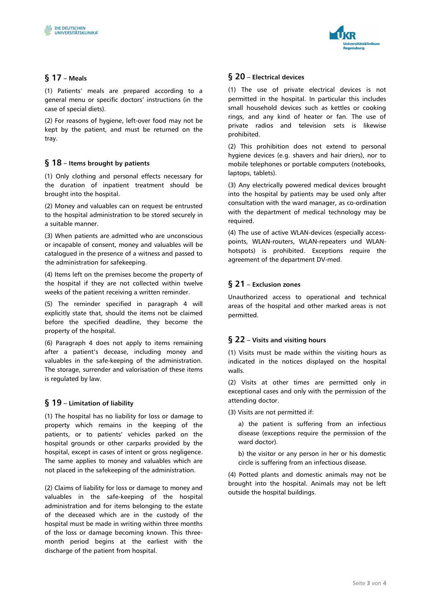

## **§ 17 – Meals**

(1) Patients' meals are prepared according to a general menu or specific doctors' instructions (in the case of special diets).

(2) For reasons of hygiene, left-over food may not be kept by the patient, and must be returned on the tray.

## **§ 18 – Items brought by patients**

(1) Only clothing and personal effects necessary for the duration of inpatient treatment should be brought into the hospital.

(2) Money and valuables can on request be entrusted to the hospital administration to be stored securely in a suitable manner.

(3) When patients are admitted who are unconscious or incapable of consent, money and valuables will be catalogued in the presence of a witness and passed to the administration for safekeeping.

(4) Items left on the premises become the property of the hospital if they are not collected within twelve weeks of the patient receiving a written reminder.

(5) The reminder specified in paragraph 4 will explicitly state that, should the items not be claimed before the specified deadline, they become the property of the hospital.

(6) Paragraph 4 does not apply to items remaining after a patient's decease, including money and valuables in the safe-keeping of the administration. The storage, surrender and valorisation of these items is regulated by law.

### **§ 19 – Limitation of liability**

(1) The hospital has no liability for loss or damage to property which remains in the keeping of the patients, or to patients' vehicles parked on the hospital grounds or other carparks provided by the hospital, except in cases of intent or gross negligence. The same applies to money and valuables which are not placed in the safekeeping of the administration.

(2) Claims of liability for loss or damage to money and valuables in the safe-keeping of the hospital administration and for items belonging to the estate of the deceased which are in the custody of the hospital must be made in writing within three months of the loss or damage becoming known. This threemonth period begins at the earliest with the discharge of the patient from hospital.

### **§ 20 – Electrical devices**

(1) The use of private electrical devices is not permitted in the hospital. In particular this includes small household devices such as kettles or cooking rings, and any kind of heater or fan. The use of private radios and television sets is likewise prohibited.

(2) This prohibition does not extend to personal hygiene devices (e.g. shavers and hair driers), nor to mobile telephones or portable computers (notebooks, laptops, tablets).

(3) Any electrically powered medical devices brought into the hospital by patients may be used only after consultation with the ward manager, as co-ordination with the department of medical technology may be required.

(4) The use of active WLAN-devices (especially accesspoints, WLAN-routers, WLAN-repeaters und WLANhotspots) is prohibited. Exceptions require the agreement of the department DV-med.

## **§ 21 – Exclusion zones**

Unauthorized access to operational and technical areas of the hospital and other marked areas is not permitted.

### **§ 22 – Visits and visiting hours**

(1) Visits must be made within the visiting hours as indicated in the notices displayed on the hospital walls.

(2) Visits at other times are permitted only in exceptional cases and only with the permission of the attending doctor.

(3) Visits are not permitted if:

a) the patient is suffering from an infectious disease (exceptions require the permission of the ward doctor).

b) the visitor or any person in her or his domestic circle is suffering from an infectious disease.

(4) Potted plants and domestic animals may not be brought into the hospital. Animals may not be left outside the hospital buildings.